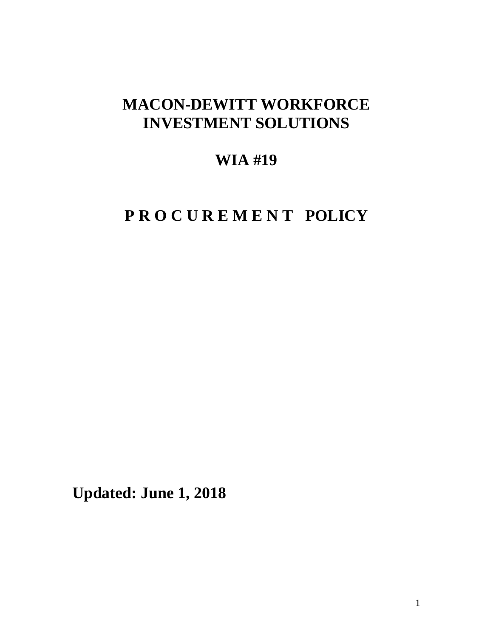## **MACON-DEWITT WORKFORCE INVESTMENT SOLUTIONS**

## **WIA #19**

# **P R O C U R E M E N T POLICY**

**Updated: June 1, 2018**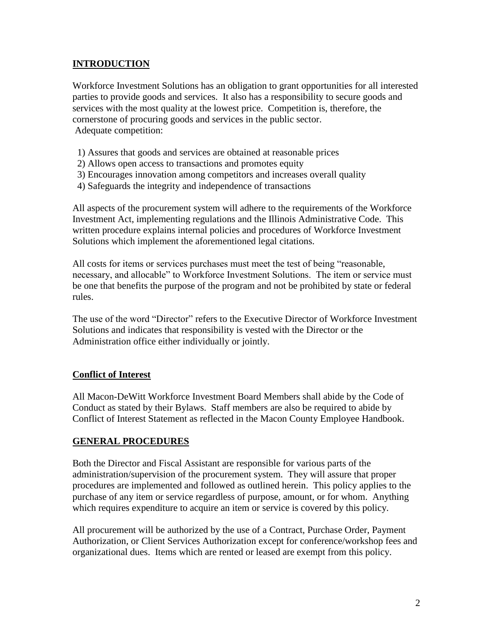### **INTRODUCTION**

Workforce Investment Solutions has an obligation to grant opportunities for all interested parties to provide goods and services. It also has a responsibility to secure goods and services with the most quality at the lowest price. Competition is, therefore, the cornerstone of procuring goods and services in the public sector. Adequate competition:

- 1) Assures that goods and services are obtained at reasonable prices
- 2) Allows open access to transactions and promotes equity
- 3) Encourages innovation among competitors and increases overall quality
- 4) Safeguards the integrity and independence of transactions

All aspects of the procurement system will adhere to the requirements of the Workforce Investment Act, implementing regulations and the Illinois Administrative Code. This written procedure explains internal policies and procedures of Workforce Investment Solutions which implement the aforementioned legal citations.

All costs for items or services purchases must meet the test of being "reasonable, necessary, and allocable" to Workforce Investment Solutions. The item or service must be one that benefits the purpose of the program and not be prohibited by state or federal rules.

The use of the word "Director" refers to the Executive Director of Workforce Investment Solutions and indicates that responsibility is vested with the Director or the Administration office either individually or jointly.

#### **Conflict of Interest**

All Macon-DeWitt Workforce Investment Board Members shall abide by the Code of Conduct as stated by their Bylaws. Staff members are also be required to abide by Conflict of Interest Statement as reflected in the Macon County Employee Handbook.

#### **GENERAL PROCEDURES**

Both the Director and Fiscal Assistant are responsible for various parts of the administration/supervision of the procurement system. They will assure that proper procedures are implemented and followed as outlined herein. This policy applies to the purchase of any item or service regardless of purpose, amount, or for whom. Anything which requires expenditure to acquire an item or service is covered by this policy.

All procurement will be authorized by the use of a Contract, Purchase Order, Payment Authorization, or Client Services Authorization except for conference/workshop fees and organizational dues. Items which are rented or leased are exempt from this policy.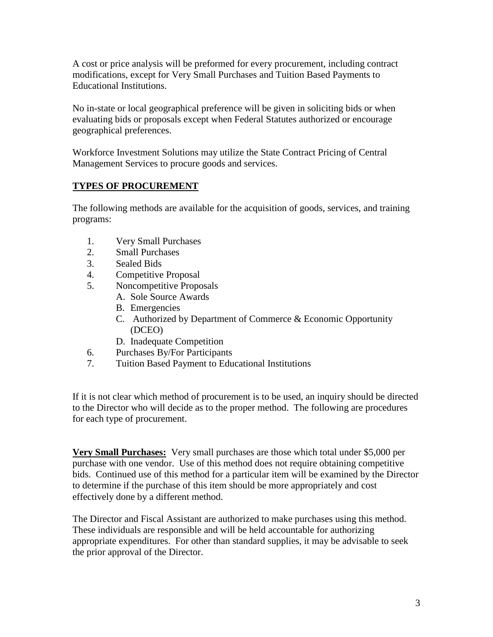A cost or price analysis will be preformed for every procurement, including contract modifications, except for Very Small Purchases and Tuition Based Payments to Educational Institutions.

No in-state or local geographical preference will be given in soliciting bids or when evaluating bids or proposals except when Federal Statutes authorized or encourage geographical preferences.

Workforce Investment Solutions may utilize the State Contract Pricing of Central Management Services to procure goods and services.

## **TYPES OF PROCUREMENT**

The following methods are available for the acquisition of goods, services, and training programs:

- 1. Very Small Purchases
- 2. Small Purchases
- 3. Sealed Bids
- 4. Competitive Proposal
- 5. Noncompetitive Proposals
	- A. Sole Source Awards
	- B. Emergencies
	- C. Authorized by Department of Commerce & Economic Opportunity (DCEO)
	- D. Inadequate Competition
- 6. Purchases By/For Participants
- 7. Tuition Based Payment to Educational Institutions

If it is not clear which method of procurement is to be used, an inquiry should be directed to the Director who will decide as to the proper method. The following are procedures for each type of procurement.

**Very Small Purchases:** Very small purchases are those which total under \$5,000 per purchase with one vendor. Use of this method does not require obtaining competitive bids. Continued use of this method for a particular item will be examined by the Director to determine if the purchase of this item should be more appropriately and cost effectively done by a different method.

The Director and Fiscal Assistant are authorized to make purchases using this method. These individuals are responsible and will be held accountable for authorizing appropriate expenditures. For other than standard supplies, it may be advisable to seek the prior approval of the Director.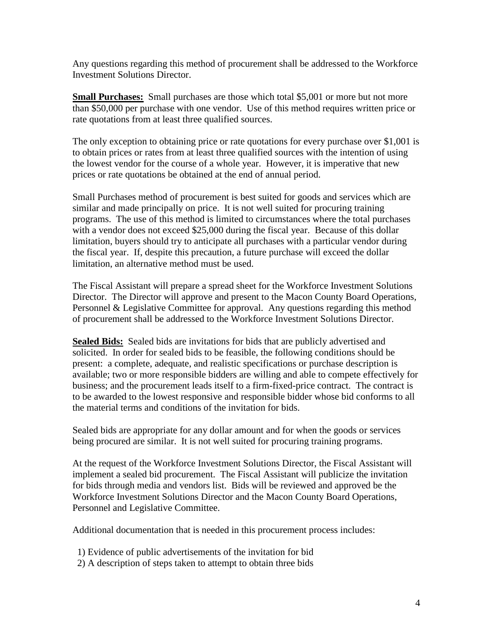Any questions regarding this method of procurement shall be addressed to the Workforce Investment Solutions Director.

**Small Purchases:** Small purchases are those which total \$5,001 or more but not more than \$50,000 per purchase with one vendor. Use of this method requires written price or rate quotations from at least three qualified sources.

The only exception to obtaining price or rate quotations for every purchase over \$1,001 is to obtain prices or rates from at least three qualified sources with the intention of using the lowest vendor for the course of a whole year. However, it is imperative that new prices or rate quotations be obtained at the end of annual period.

Small Purchases method of procurement is best suited for goods and services which are similar and made principally on price. It is not well suited for procuring training programs. The use of this method is limited to circumstances where the total purchases with a vendor does not exceed \$25,000 during the fiscal year. Because of this dollar limitation, buyers should try to anticipate all purchases with a particular vendor during the fiscal year. If, despite this precaution, a future purchase will exceed the dollar limitation, an alternative method must be used.

The Fiscal Assistant will prepare a spread sheet for the Workforce Investment Solutions Director. The Director will approve and present to the Macon County Board Operations, Personnel & Legislative Committee for approval. Any questions regarding this method of procurement shall be addressed to the Workforce Investment Solutions Director.

**Sealed Bids:** Sealed bids are invitations for bids that are publicly advertised and solicited. In order for sealed bids to be feasible, the following conditions should be present: a complete, adequate, and realistic specifications or purchase description is available; two or more responsible bidders are willing and able to compete effectively for business; and the procurement leads itself to a firm-fixed-price contract. The contract is to be awarded to the lowest responsive and responsible bidder whose bid conforms to all the material terms and conditions of the invitation for bids.

Sealed bids are appropriate for any dollar amount and for when the goods or services being procured are similar. It is not well suited for procuring training programs.

At the request of the Workforce Investment Solutions Director, the Fiscal Assistant will implement a sealed bid procurement. The Fiscal Assistant will publicize the invitation for bids through media and vendors list. Bids will be reviewed and approved be the Workforce Investment Solutions Director and the Macon County Board Operations, Personnel and Legislative Committee.

Additional documentation that is needed in this procurement process includes:

- 1) Evidence of public advertisements of the invitation for bid
- 2) A description of steps taken to attempt to obtain three bids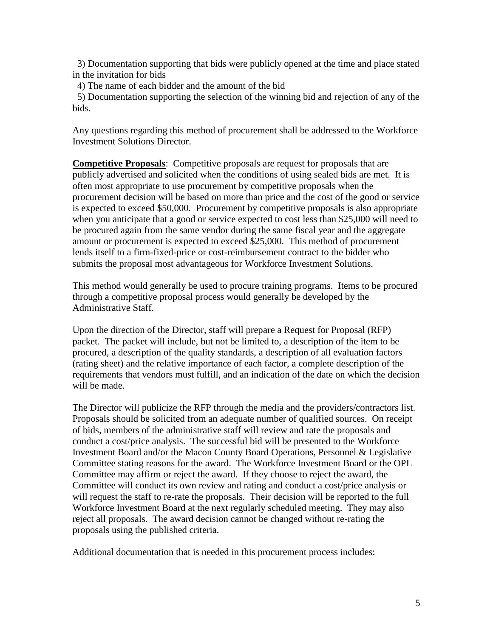3) Documentation supporting that bids were publicly opened at the time and place stated in the invitation for bids

4) The name of each bidder and the amount of the bid

5) Documentation supporting the selection of the winning bid and rejection of any of the bids.

Any questions regarding this method of procurement shall be addressed to the Workforce Investment Solutions Director.

**Competitive Proposals**: Competitive proposals are request for proposals that are publicly advertised and solicited when the conditions of using sealed bids are met. It is often most appropriate to use procurement by competitive proposals when the procurement decision will be based on more than price and the cost of the good or service is expected to exceed \$50,000. Procurement by competitive proposals is also appropriate when you anticipate that a good or service expected to cost less than \$25,000 will need to be procured again from the same vendor during the same fiscal year and the aggregate amount or procurement is expected to exceed \$25,000. This method of procurement lends itself to a firm-fixed-price or cost-reimbursement contract to the bidder who submits the proposal most advantageous for Workforce Investment Solutions.

This method would generally be used to procure training programs. Items to be procured through a competitive proposal process would generally be developed by the Administrative Staff.

Upon the direction of the Director, staff will prepare a Request for Proposal (RFP) packet. The packet will include, but not be limited to, a description of the item to be procured, a description of the quality standards, a description of all evaluation factors (rating sheet) and the relative importance of each factor, a complete description of the requirements that vendors must fulfill, and an indication of the date on which the decision will be made.

The Director will publicize the RFP through the media and the providers/contractors list. Proposals should be solicited from an adequate number of qualified sources. On receipt of bids, members of the administrative staff will review and rate the proposals and conduct a cost/price analysis. The successful bid will be presented to the Workforce Investment Board and/or the Macon County Board Operations, Personnel & Legislative Committee stating reasons for the award. The Workforce Investment Board or the OPL Committee may affirm or reject the award. If they choose to reject the award, the Committee will conduct its own review and rating and conduct a cost/price analysis or will request the staff to re-rate the proposals. Their decision will be reported to the full Workforce Investment Board at the next regularly scheduled meeting. They may also reject all proposals. The award decision cannot be changed without re-rating the proposals using the published criteria.

Additional documentation that is needed in this procurement process includes: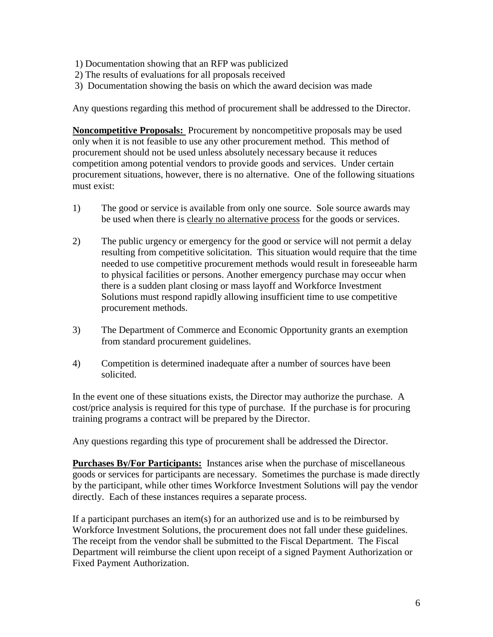- 1) Documentation showing that an RFP was publicized
- 2) The results of evaluations for all proposals received
- 3) Documentation showing the basis on which the award decision was made

Any questions regarding this method of procurement shall be addressed to the Director.

**Noncompetitive Proposals:** Procurement by noncompetitive proposals may be used only when it is not feasible to use any other procurement method. This method of procurement should not be used unless absolutely necessary because it reduces competition among potential vendors to provide goods and services. Under certain procurement situations, however, there is no alternative. One of the following situations must exist:

- 1) The good or service is available from only one source. Sole source awards may be used when there is clearly no alternative process for the goods or services.
- 2) The public urgency or emergency for the good or service will not permit a delay resulting from competitive solicitation. This situation would require that the time needed to use competitive procurement methods would result in foreseeable harm to physical facilities or persons. Another emergency purchase may occur when there is a sudden plant closing or mass layoff and Workforce Investment Solutions must respond rapidly allowing insufficient time to use competitive procurement methods.
- 3) The Department of Commerce and Economic Opportunity grants an exemption from standard procurement guidelines.
- 4) Competition is determined inadequate after a number of sources have been solicited.

In the event one of these situations exists, the Director may authorize the purchase. A cost/price analysis is required for this type of purchase. If the purchase is for procuring training programs a contract will be prepared by the Director.

Any questions regarding this type of procurement shall be addressed the Director.

**Purchases By/For Participants:** Instances arise when the purchase of miscellaneous goods or services for participants are necessary. Sometimes the purchase is made directly by the participant, while other times Workforce Investment Solutions will pay the vendor directly. Each of these instances requires a separate process.

If a participant purchases an item(s) for an authorized use and is to be reimbursed by Workforce Investment Solutions, the procurement does not fall under these guidelines. The receipt from the vendor shall be submitted to the Fiscal Department. The Fiscal Department will reimburse the client upon receipt of a signed Payment Authorization or Fixed Payment Authorization.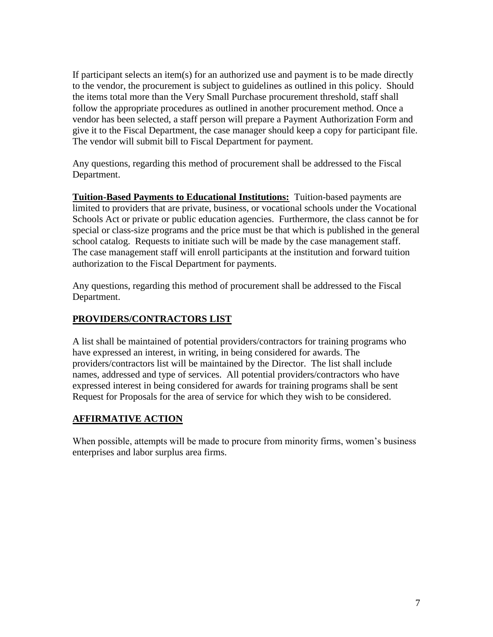If participant selects an item(s) for an authorized use and payment is to be made directly to the vendor, the procurement is subject to guidelines as outlined in this policy. Should the items total more than the Very Small Purchase procurement threshold, staff shall follow the appropriate procedures as outlined in another procurement method. Once a vendor has been selected, a staff person will prepare a Payment Authorization Form and give it to the Fiscal Department, the case manager should keep a copy for participant file. The vendor will submit bill to Fiscal Department for payment.

Any questions, regarding this method of procurement shall be addressed to the Fiscal Department.

**Tuition-Based Payments to Educational Institutions:** Tuition-based payments are limited to providers that are private, business, or vocational schools under the Vocational Schools Act or private or public education agencies. Furthermore, the class cannot be for special or class-size programs and the price must be that which is published in the general school catalog. Requests to initiate such will be made by the case management staff. The case management staff will enroll participants at the institution and forward tuition authorization to the Fiscal Department for payments.

Any questions, regarding this method of procurement shall be addressed to the Fiscal Department.

## **PROVIDERS/CONTRACTORS LIST**

A list shall be maintained of potential providers/contractors for training programs who have expressed an interest, in writing, in being considered for awards. The providers/contractors list will be maintained by the Director. The list shall include names, addressed and type of services. All potential providers/contractors who have expressed interest in being considered for awards for training programs shall be sent Request for Proposals for the area of service for which they wish to be considered.

#### **AFFIRMATIVE ACTION**

When possible, attempts will be made to procure from minority firms, women's business enterprises and labor surplus area firms.